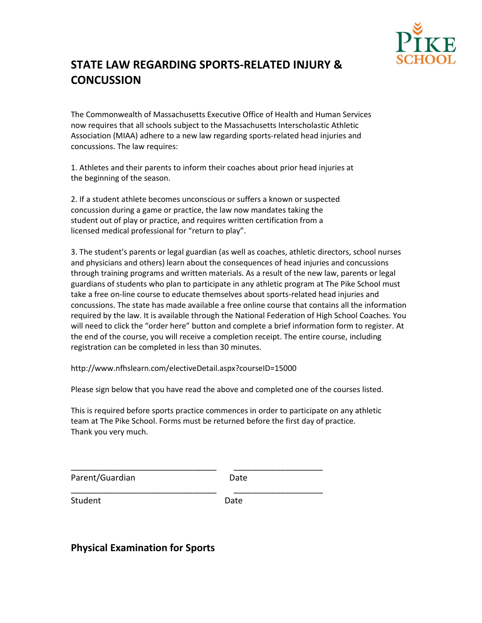

## **STATE LAW REGARDING SPORTS-RELATED INJURY & CONCUSSION**

The Commonwealth of Massachusetts Executive Office of Health and Human Services now requires that all schools subject to the Massachusetts Interscholastic Athletic Association (MIAA) adhere to a new law regarding sports-related head injuries and concussions. The law requires:

1. Athletes and their parents to inform their coaches about prior head injuries at the beginning of the season.

2. If a student athlete becomes unconscious or suffers a known or suspected concussion during a game or practice, the law now mandates taking the student out of play or practice, and requires written certification from a licensed medical professional for "return to play".

3. The student's parents or legal guardian (as well as coaches, athletic directors, school nurses and physicians and others) learn about the consequences of head injuries and concussions through training programs and written materials. As a result of the new law, parents or legal guardians of students who plan to participate in any athletic program at The Pike School must take a free on-line course to educate themselves about sports-related head injuries and concussions. The state has made available a free online course that contains all the information required by the law. It is available through the National Federation of High School Coaches. You will need to click the "order here" button and complete a brief information form to register. At the end of the course, you will receive a completion receipt. The entire course, including registration can be completed in less than 30 minutes.

http://www.nfhslearn.com/electiveDetail.aspx?courseID=15000

\_\_\_\_\_\_\_\_\_\_\_\_\_\_\_\_\_\_\_\_\_\_\_\_\_\_\_\_\_\_\_ \_\_\_\_\_\_\_\_\_\_\_\_\_\_\_\_\_\_\_

\_\_\_\_\_\_\_\_\_\_\_\_\_\_\_\_\_\_\_\_\_\_\_\_\_\_\_\_\_\_\_ \_\_\_\_\_\_\_\_\_\_\_\_\_\_\_\_\_\_\_

Please sign below that you have read the above and completed one of the courses listed.

This is required before sports practice commences in order to participate on any athletic team at The Pike School. Forms must be returned before the first day of practice. Thank you very much.

Parent/Guardian Date

Student Date

**Physical Examination for Sports**